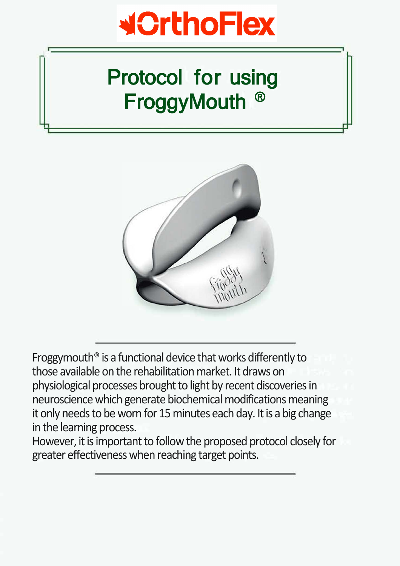

# Protocol for using FroggyMouth ®

**.**



Froggymouth® is a functional device that works differently to those available on the rehabilitation market. It draws on physiological processes brought to light by recent discoveries in neuroscience which generate biochemical modifications meaning it only needs to be worn for 15 minutes each day. It is a big change in the learning process.

However, it is important to follow the proposed protocol closely for greater effectiveness when reaching target points.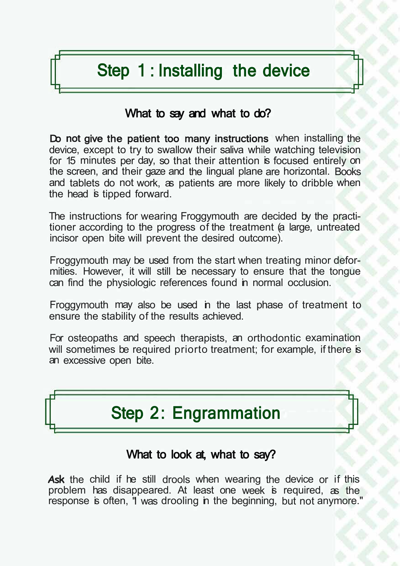### Step 1 : Installing the device

#### What to say and what to do?

Do not give the patient too many instructions when installing the device, except to try to swallow their saliva while watching television for 15 minutes per day, so that their attention is focused entirely on the screen, and their gaze and the lingual plane are horizontal. Books and tablets do not work, as patients are more likely to dribble when the head is tipped forward.

The instructions for wearing Froggymouth are decided by the practitioner according to the progress of the treatment (a large, untreated incisor open bite will prevent the desired outcome).

Froggymouth may be used from the start when treating minor deformities. However, it will still be necessary to ensure that the tongue can find the physiologic references found in normal occlusion.

Froggymouth may also be used in the last phase of treatment to ensure the stability of the results achieved.

For osteopaths and speech therapists, an orthodontic examination will sometimes be required priorto treatment; for example, if there is an excessive open bite.



#### What to look at, what to say?

**Ask** the child if he still drools when wearing the device or if this problem has disappeared. At least one week is required, as the response is often, "I was drooling in the beginning, but not anymore."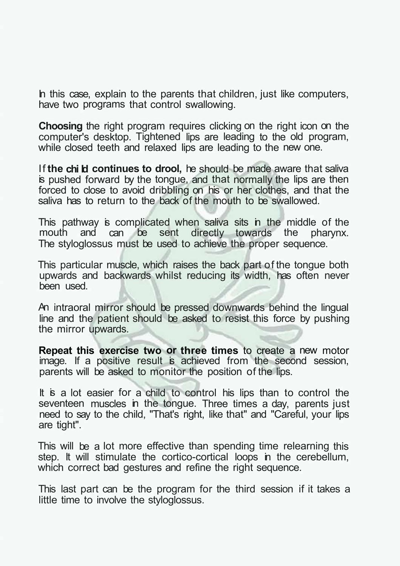In this case, explain to the parents that children, just like computers, have two programs that control swallowing.

**Choosing** the right program requires clicking on the right icon on the computer's desktop. Tightened lips are leading to the old program, while closed teeth and relaxed lips are leading to the new one.

If **the chi Id continues to drool,** he should be made aware that saliva is pushed forward by the tongue, and that normally the lips are then forced to close to avoid dribbling on his or her clothes, and that the saliva has to return to the back of the mouth to be swallowed.

This pathway is complicated when saliva sits in the middle of the mouth and can be sent directly towards the pharynx. can be sent directly towards the pharynx. The styloglossus must be used to achieve the proper sequence.

This particular muscle, which raises the back part of the tongue both upwards and backwards whilst reducing its width, has often never been used.

An intraoral mirror should be pressed downwards behind the lingual line and the patient should be asked to resist this force by pushing the mirror upwards.

**Repeat this exercise two or three times** to create a new motor image. If a positive result is achieved from the second session, parents will be asked to monitor the position of the lips.

It is a lot easier for a child to control his lips than to control the seventeen muscles in the tongue. Three times a day, parents just need to say to the child, "That's right, like that" and "Careful, your lips are tight".

This will be a lot more effective than spending time relearning this step. It will stimulate the cortico-cortical loops in the cerebellum, which correct bad gestures and refine the right sequence.

This last part can be the program for the third session if it takes a little time to involve the styloglossus.